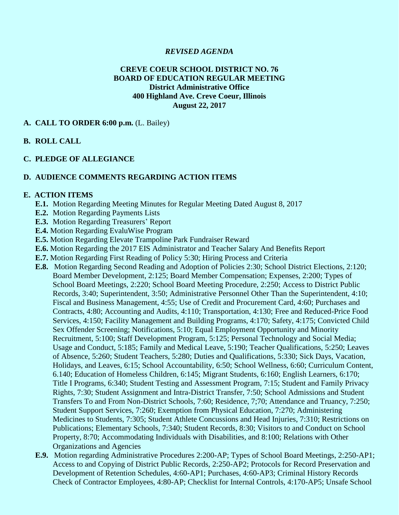### *REVISED AGENDA*

### **CREVE COEUR SCHOOL DISTRICT NO. 76 BOARD OF EDUCATION REGULAR MEETING District Administrative Office 400 Highland Ave. Creve Coeur, Illinois August 22, 2017**

#### **A. CALL TO ORDER 6:00 p.m.** (L. Bailey)

### **B. ROLL CALL**

#### **C. PLEDGE OF ALLEGIANCE**

#### **D. AUDIENCE COMMENTS REGARDING ACTION ITEMS**

#### **E. ACTION ITEMS**

- **E.1.** Motion Regarding Meeting Minutes for Regular Meeting Dated August 8, 2017
- **E.2.** Motion Regarding Payments Lists
- **E.3.** Motion Regarding Treasurers' Report
- **E.4.** Motion Regarding EvaluWise Program
- **E.5.** Motion Regarding Elevate Trampoline Park Fundraiser Reward
- **E.6.** Motion Regarding the 2017 EIS Administrator and Teacher Salary And Benefits Report
- **E.7.** Motion Regarding First Reading of Policy 5:30; Hiring Process and Criteria
- **E.8.** Motion Regarding Second Reading and Adoption of Policies 2:30; School District Elections, 2:120; Board Member Development, 2:125; Board Member Compensation; Expenses, 2:200; Types of School Board Meetings, 2:220; School Board Meeting Procedure, 2:250; Access to District Public Records, 3:40; Superintendent, 3:50; Administrative Personnel Other Than the Superintendent, 4:10; Fiscal and Business Management, 4:55; Use of Credit and Procurement Card, 4:60; Purchases and Contracts, 4:80; Accounting and Audits, 4:110; Transportation, 4:130; Free and Reduced-Price Food Services, 4:150; Facility Management and Building Programs, 4:170; Safety, 4:175; Convicted Child Sex Offender Screening; Notifications, 5:10; Equal Employment Opportunity and Minority Recruitment, 5:100; Staff Development Program, 5:125; Personal Technology and Social Media; Usage and Conduct, 5:185; Family and Medical Leave, 5:190; Teacher Qualifications, 5:250; Leaves of Absence, 5:260; Student Teachers, 5:280; Duties and Qualifications, 5:330; Sick Days, Vacation, Holidays, and Leaves, 6:15; School Accountability, 6:50; School Wellness, 6:60; Curriculum Content, 6.140; Education of Homeless Children, 6:145; Migrant Students, 6:160; English Learners, 6:170; Title I Programs, 6:340; Student Testing and Assessment Program, 7:15; Student and Family Privacy Rights, 7:30; Student Assignment and Intra-District Transfer, 7:50; School Admissions and Student Transfers To and From Non-District Schools, 7:60; Residence, 7;70; Attendance and Truancy, 7:250; Student Support Services, 7:260; Exemption from Physical Education, 7:270; Administering Medicines to Students, 7:305; Student Athlete Concussions and Head Injuries, 7:310; Restrictions on Publications; Elementary Schools, 7:340; Student Records, 8:30; Visitors to and Conduct on School Property, 8:70; Accommodating Individuals with Disabilities, and 8:100; Relations with Other Organizations and Agencies
- **E.9.** Motion regarding Administrative Procedures 2:200-AP; Types of School Board Meetings, 2:250-AP1; Access to and Copying of District Public Records, 2:250-AP2; Protocols for Record Preservation and Development of Retention Schedules, 4:60-AP1; Purchases, 4:60-AP3; Criminal History Records Check of Contractor Employees, 4:80-AP; Checklist for Internal Controls, 4:170-AP5; Unsafe School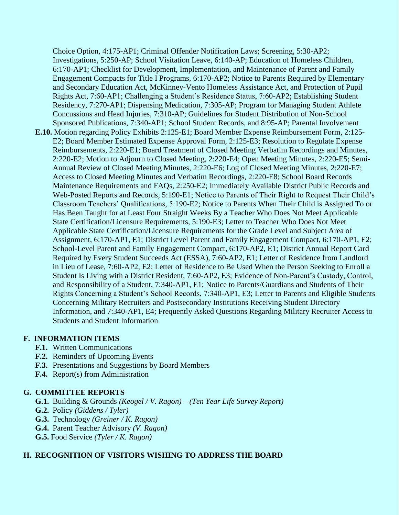Choice Option, 4:175-AP1; Criminal Offender Notification Laws; Screening, 5:30-AP2; Investigations, 5:250-AP; School Visitation Leave, 6:140-AP; Education of Homeless Children, 6:170-AP1; Checklist for Development, Implementation, and Maintenance of Parent and Family Engagement Compacts for Title I Programs, 6:170-AP2; Notice to Parents Required by Elementary and Secondary Education Act, McKinney-Vento Homeless Assistance Act, and Protection of Pupil Rights Act, 7:60-AP1; Challenging a Student's Residence Status, 7:60-AP2; Establishing Student Residency, 7:270-AP1; Dispensing Medication, 7:305-AP; Program for Managing Student Athlete Concussions and Head Injuries, 7:310-AP; Guidelines for Student Distribution of Non-School Sponsored Publications, 7:340-AP1; School Student Records, and 8:95-AP; Parental Involvement **E.10.** Motion regarding Policy Exhibits 2:125-E1; Board Member Expense Reimbursement Form, 2:125- E2; Board Member Estimated Expense Approval Form, 2:125-E3; Resolution to Regulate Expense Reimbursements, 2:220-E1; Board Treatment of Closed Meeting Verbatim Recordings and Minutes, 2:220-E2; Motion to Adjourn to Closed Meeting, 2:220-E4; Open Meeting Minutes, 2:220-E5; Semi-Annual Review of Closed Meeting Minutes, 2:220-E6; Log of Closed Meeting Minutes, 2:220-E7; Access to Closed Meeting Minutes and Verbatim Recordings, 2:220-E8; School Board Records Maintenance Requirements and FAQs, 2:250-E2; Immediately Available District Public Records and Web-Posted Reports and Records, 5:190-E1; Notice to Parents of Their Right to Request Their Child's Classroom Teachers' Qualifications, 5:190-E2; Notice to Parents When Their Child is Assigned To or Has Been Taught for at Least Four Straight Weeks By a Teacher Who Does Not Meet Applicable State Certification/Licensure Requirements, 5:190-E3; Letter to Teacher Who Does Not Meet Applicable State Certification/Licensure Requirements for the Grade Level and Subject Area of Assignment, 6:170-AP1, E1; District Level Parent and Family Engagement Compact, 6:170-AP1, E2; School-Level Parent and Family Engagement Compact, 6:170-AP2, E1; District Annual Report Card Required by Every Student Succeeds Act (ESSA), 7:60-AP2, E1; Letter of Residence from Landlord in Lieu of Lease, 7:60-AP2, E2; Letter of Residence to Be Used When the Person Seeking to Enroll a Student Is Living with a District Resident, 7:60-AP2, E3; Evidence of Non-Parent's Custody, Control, and Responsibility of a Student, 7:340-AP1, E1; Notice to Parents/Guardians and Students of Their Rights Concerning a Student's School Records, 7:340-AP1, E3; Letter to Parents and Eligible Students Concerning Military Recruiters and Postsecondary Institutions Receiving Student Directory Information, and 7:340-AP1, E4; Frequently Asked Questions Regarding Military Recruiter Access to Students and Student Information

## **F. INFORMATION ITEMS**

- **F.1.** Written Communications
- **F.2.** Reminders of Upcoming Events
- **F.3.** Presentations and Suggestions by Board Members
- **F.4.** Report(s) from Administration

## **G. COMMITTEE REPORTS**

- **G.1.** Building & Grounds *(Keogel / V. Ragon) (Ten Year Life Survey Report)*
- **G.2.** Policy *(Giddens / Tyler)*
- **G.3.** Technology *(Greiner / K. Ragon)*
- **G.4.** Parent Teacher Advisory *(V. Ragon)*
- **G.5.** Food Service *(Tyler / K. Ragon)*

## **H. RECOGNITION OF VISITORS WISHING TO ADDRESS THE BOARD**